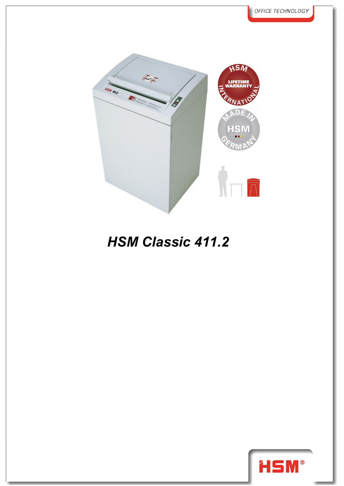

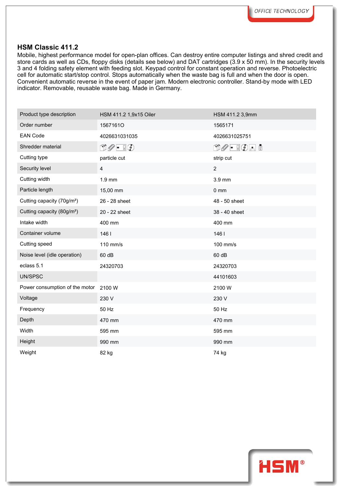Mobile, highest performance model for open-plan offices. Can destroy entire computer listings and shred credit and store cards as well as CDs, floppy disks (details see below) and DAT cartridges (3.9 x 50 mm). In the security levels 3 and 4 folding safety element with feeding slot. Keypad control for constant operation and reverse. Photoelectric cell for automatic start/stop control. Stops automatically when the waste bag is full and when the door is open. Convenient automatic reverse in the event of paper jam. Modern electronic controller. Stand-by mode with LED indicator. Removable, reusable waste bag. Made in Germany.

| Product type description               | HSM 411.2 1,9x15 Oiler        | HSM 411.2 3,9mm                              |
|----------------------------------------|-------------------------------|----------------------------------------------|
| Order number                           | 15671610                      | 1565171                                      |
| <b>EAN Code</b>                        | 4026631031035                 | 4026631025751                                |
| Shredder material                      | $\Box \oslash - \Box \oslash$ | $\mathbb{C} \mathscr{O}$ . To a $\mathbb{C}$ |
| Cutting type                           | particle cut                  | strip cut                                    |
| Security level                         | $\overline{4}$                | $\overline{2}$                               |
| Cutting width                          | $1.9$ mm                      | 3.9 mm                                       |
| Particle length                        | 15,00 mm                      | $0 \text{ mm}$                               |
| Cutting capacity (70g/m <sup>2</sup> ) | 26 - 28 sheet                 | 48 - 50 sheet                                |
| Cutting capacity (80g/m <sup>2</sup> ) | 20 - 22 sheet                 | 38 - 40 sheet                                |
| Intake width                           | 400 mm                        | 400 mm                                       |
| Container volume                       | 1461                          | 1461                                         |
| Cutting speed                          | 110 mm/s                      | 100 mm/s                                     |
| Noise level (idle operation)           | 60 dB                         | 60 dB                                        |
| eclass 5.1                             | 24320703                      | 24320703                                     |
| UN/SPSC                                |                               | 44101603                                     |
| Power consumption of the motor 2100 W  |                               | 2100W                                        |
| Voltage                                | 230 V                         | 230 V                                        |
| Frequency                              | 50 Hz                         | 50 Hz                                        |
| Depth                                  | 470 mm                        | 470 mm                                       |
| Width                                  | 595 mm                        | 595 mm                                       |
| Height                                 | 990 mm                        | 990 mm                                       |
| Weight                                 | 82 kg                         | 74 kg                                        |
|                                        |                               |                                              |

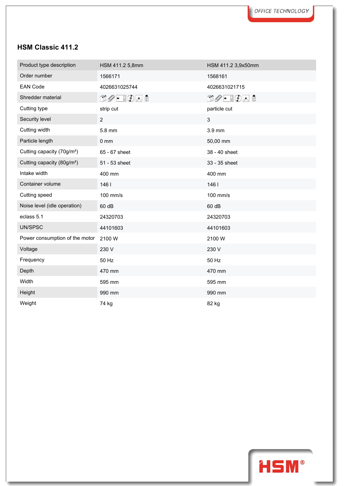| Product type description               | HSM 411.2 5,8mm                                       | HSM 411.2 3,9x50mm      |
|----------------------------------------|-------------------------------------------------------|-------------------------|
| Order number                           | 1566171                                               | 1568161                 |
| <b>EAN Code</b>                        | 4026631025744                                         | 4026631021715           |
| Shredder material                      | $\mathbb{C}\mathscr{O}$ - $\mathbb{C}\mathscr{O}$ and | $D$ $O$ - $I$ $O$ - $I$ |
| Cutting type                           | strip cut                                             | particle cut            |
| Security level                         | $\overline{2}$                                        | 3                       |
| Cutting width                          | 5.8 mm                                                | 3.9 mm                  |
| Particle length                        | $0 \text{ mm}$                                        | 50,00 mm                |
| Cutting capacity (70g/m <sup>2</sup> ) | 65 - 67 sheet                                         | 38 - 40 sheet           |
| Cutting capacity (80g/m <sup>2</sup> ) | 51 - 53 sheet                                         | 33 - 35 sheet           |
| Intake width                           | 400 mm                                                | 400 mm                  |
| Container volume                       | 1461                                                  | 1461                    |
| Cutting speed                          | 100 mm/s                                              | 100 mm/s                |
| Noise level (idle operation)           | 60 dB                                                 | 60 dB                   |
| eclass 5.1                             | 24320703                                              | 24320703                |
| UN/SPSC                                | 44101603                                              | 44101603                |
| Power consumption of the motor         | 2100W                                                 | 2100W                   |
| Voltage                                | 230 V                                                 | 230 V                   |
| Frequency                              | 50 Hz                                                 | 50 Hz                   |
| Depth                                  | 470 mm                                                | 470 mm                  |
| Width                                  | 595 mm                                                | 595 mm                  |
| Height                                 | 990 mm                                                | 990 mm                  |
| Weight                                 | 74 kg                                                 | 82 kg                   |

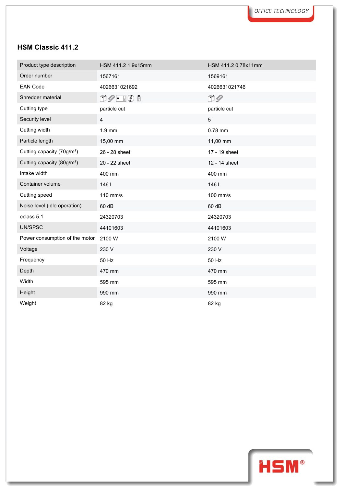| Product type description               | HSM 411.2 1,9x15mm                       | HSM 411.2 0,78x11mm |  |
|----------------------------------------|------------------------------------------|---------------------|--|
| Order number                           | 1567161                                  | 1569161             |  |
| <b>EAN Code</b>                        | 4026631021692                            | 4026631021746       |  |
| Shredder material                      | $\Box \oslash \cdot \ \Box \odot \ \Box$ | $\square$           |  |
| Cutting type                           | particle cut                             | particle cut        |  |
| Security level                         | 4                                        | 5                   |  |
| Cutting width                          | $1.9$ mm                                 | 0.78 mm             |  |
| Particle length                        | 15,00 mm                                 | 11,00 mm            |  |
| Cutting capacity (70g/m <sup>2</sup> ) | 26 - 28 sheet                            | 17 - 19 sheet       |  |
| Cutting capacity (80g/m <sup>2</sup> ) | 20 - 22 sheet                            | 12 - 14 sheet       |  |
| Intake width                           | 400 mm                                   | 400 mm              |  |
| Container volume                       | 146                                      | 1461                |  |
| Cutting speed                          | 110 mm/s                                 | 100 mm/s            |  |
| Noise level (idle operation)           | 60 dB                                    | 60 dB               |  |
| eclass 5.1                             | 24320703                                 | 24320703            |  |
| UN/SPSC                                | 44101603                                 | 44101603            |  |
| Power consumption of the motor         | 2100 W                                   | 2100W               |  |
| Voltage                                | 230 V                                    | 230 V               |  |
| Frequency                              | 50 Hz                                    | 50 Hz               |  |
| Depth                                  | 470 mm                                   | 470 mm              |  |
| Width                                  | 595 mm                                   | 595 mm              |  |
| Height                                 | 990 mm                                   | 990 mm              |  |
| Weight                                 | 82 kg                                    | 82 kg               |  |